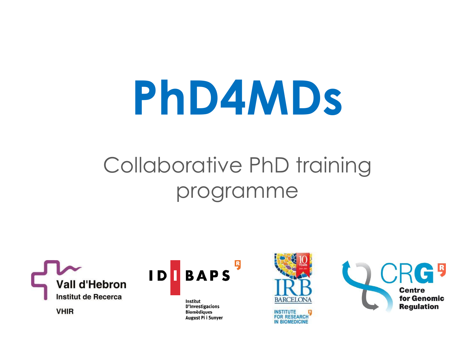# **PhD4MDs**

#### Collaborative PhD training programme





Institut D'Investigacions **Biomèdiques** August Pi i Sunyer



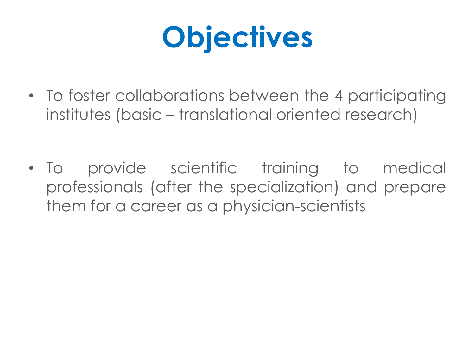## **Objectives**

- To foster collaborations between the 4 participating institutes (basic – translational oriented research)
- To provide scientific training to medical professionals (after the specialization) and prepare them for a career as a physician-scientists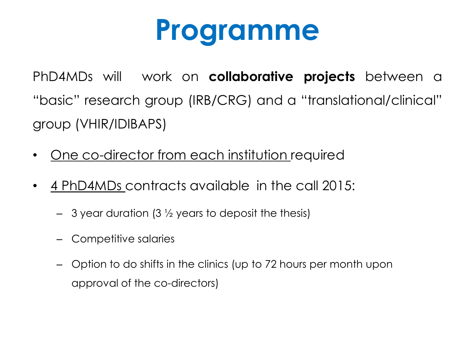## **Programme**

PhD4MDs will work on **collaborative projects** between a "basic" research group (IRB/CRG) and a "translational/clinical" group (VHIR/IDIBAPS)

- One co-director from each institution required
- 4 PhD4MDs contracts available in the call 2015:
	- $-$  3 year duration (3  $\frac{1}{2}$  years to deposit the thesis)
	- Competitive salaries
	- Option to do shifts in the clinics (up to 72 hours per month upon approval of the co-directors)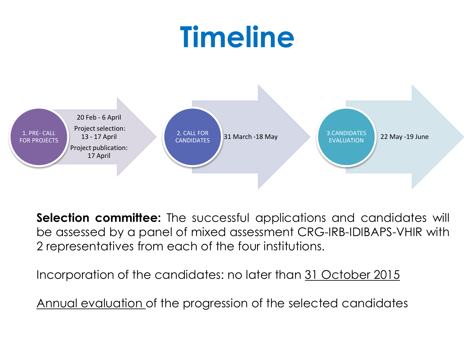## **Timeline**



**Selection committee:** The successful applications and candidates will be assessed by a panel of mixed assessment CRG-IRB-IDIBAPS-VHIR with 2 representatives from each of the four institutions.

Incorporation of the candidates: no later than 31 October 2015

Annual evaluation of the progression of the selected candidates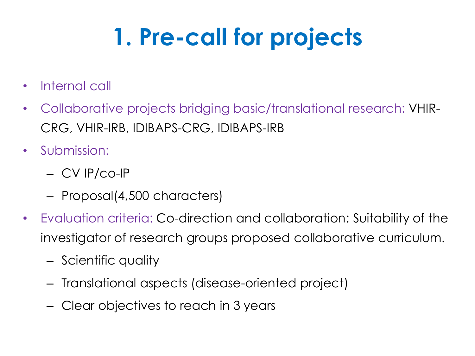### **1. Pre-call for projects**

- Internal call
- Collaborative projects bridging basic/translational research: VHIR-CRG, VHIR-IRB, IDIBAPS-CRG, IDIBAPS-IRB
- Submission:
	- CV IP/co-IP
	- Proposal(4,500 characters)
- Evaluation criteria: Co-direction and collaboration: Suitability of the investigator of research groups proposed collaborative curriculum.
	- Scientific quality
	- Translational aspects (disease-oriented project)
	- Clear objectives to reach in 3 years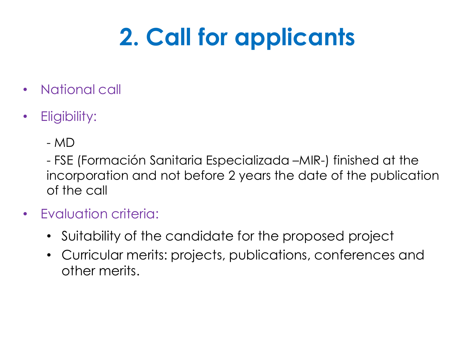#### **2. Call for applicants**

- National call
- Eligibility:
	- MD

- FSE (Formación Sanitaria Especializada –MIR-) finished at the incorporation and not before 2 years the date of the publication of the call

- Evaluation criteria:
	- Suitability of the candidate for the proposed project
	- Curricular merits: projects, publications, conferences and other merits.